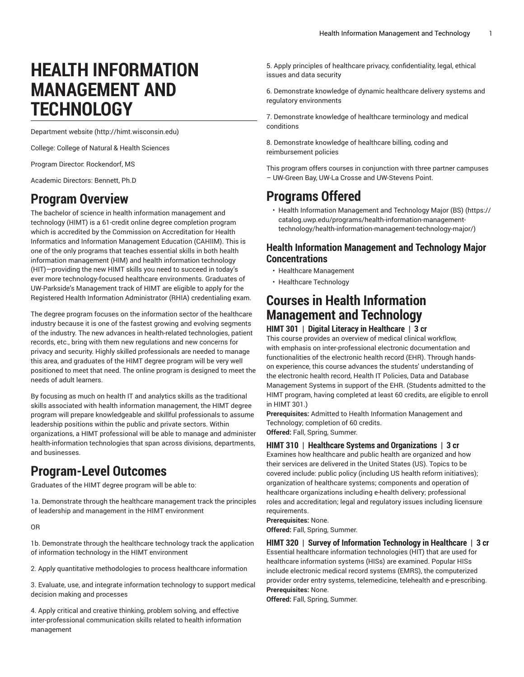# **HEALTH INFORMATION MANAGEMENT AND TECHNOLOGY**

[Department](http://himt.wisconsin.edu) website [\(http://himt.wisconsin.edu\)](http://himt.wisconsin.edu)

College: College of Natural & Health Sciences

Program Director: Rockendorf, MS

Academic Directors: Bennett, Ph.D

# **Program Overview**

The bachelor of science in health information management and technology (HIMT) is a 61-credit online degree completion program which is accredited by the Commission on Accreditation for Health Informatics and Information Management Education (CAHIIM). This is one of the only programs that teaches essential skills in both health information management (HIM) and health information technology (HIT)—providing the new HIMT skills you need to succeed in today's ever more technology-focused healthcare environments. Graduates of UW-Parkside's Management track of HIMT are eligible to apply for the Registered Health Information Administrator (RHIA) credentialing exam.

The degree program focuses on the information sector of the healthcare industry because it is one of the fastest growing and evolving segments of the industry. The new advances in health-related technologies, patient records, etc., bring with them new regulations and new concerns for privacy and security. Highly skilled professionals are needed to manage this area, and graduates of the HIMT degree program will be very well positioned to meet that need. The online program is designed to meet the needs of adult learners.

By focusing as much on health IT and analytics skills as the traditional skills associated with health information management, the HIMT degree program will prepare knowledgeable and skillful professionals to assume leadership positions within the public and private sectors. Within organizations, a HIMT professional will be able to manage and administer health-information technologies that span across divisions, departments, and businesses.

# **Program-Level Outcomes**

Graduates of the HIMT degree program will be able to:

1a. Demonstrate through the healthcare management track the principles of leadership and management in the HIMT environment

OR

1b. Demonstrate through the healthcare technology track the application of information technology in the HIMT environment

2. Apply quantitative methodologies to process healthcare information

3. Evaluate, use, and integrate information technology to support medical decision making and processes

4. Apply critical and creative thinking, problem solving, and effective inter-professional communication skills related to health information management

5. Apply principles of healthcare privacy, confidentiality, legal, ethical issues and data security

6. Demonstrate knowledge of dynamic healthcare delivery systems and regulatory environments

7. Demonstrate knowledge of healthcare terminology and medical conditions

8. Demonstrate knowledge of healthcare billing, coding and reimbursement policies

This program offers courses in conjunction with three partner campuses – UW-Green Bay, UW-La Crosse and UW-Stevens Point.

# **Programs Offered**

• Health Information [Management](https://catalog.uwp.edu/programs/health-information-management-technology/health-information-management-technology-major/) and Technology Major (BS) [\(https://](https://catalog.uwp.edu/programs/health-information-management-technology/health-information-management-technology-major/) [catalog.uwp.edu/programs/health-information-management](https://catalog.uwp.edu/programs/health-information-management-technology/health-information-management-technology-major/)[technology/health-information-management-technology-major/](https://catalog.uwp.edu/programs/health-information-management-technology/health-information-management-technology-major/))

# **Health Information Management and Technology Major Concentrations**

- Healthcare Management
- Healthcare Technology

# **Courses in Health Information Management and Technology**

# **HIMT 301 | Digital Literacy in Healthcare | 3 cr**

This course provides an overview of medical clinical workflow, with emphasis on inter-professional electronic documentation and functionalities of the electronic health record (EHR). Through handson experience, this course advances the students' understanding of the electronic health record, Health IT Policies, Data and Database Management Systems in support of the EHR. (Students admitted to the HIMT program, having completed at least 60 credits, are eligible to enroll in HIMT 301.)

**Prerequisites:** Admitted to Health Information Management and Technology; completion of 60 credits. **Offered:** Fall, Spring, Summer.

#### **HIMT 310 | Healthcare Systems and Organizations | 3 cr**

Examines how healthcare and public health are organized and how their services are delivered in the United States (US). Topics to be covered include: public policy (including US health reform initiatives); organization of healthcare systems; components and operation of healthcare organizations including e-health delivery; professional roles and accreditation; legal and regulatory issues including licensure requirements.

**Prerequisites:** None.

**Offered:** Fall, Spring, Summer.

**HIMT 320 | Survey of Information Technology in Healthcare | 3 cr** Essential healthcare information technologies (HIT) that are used for healthcare information systems (HISs) are examined. Popular HISs include electronic medical record systems (EMRS), the computerized provider order entry systems, telemedicine, telehealth and e-prescribing. **Prerequisites:** None.

**Offered:** Fall, Spring, Summer.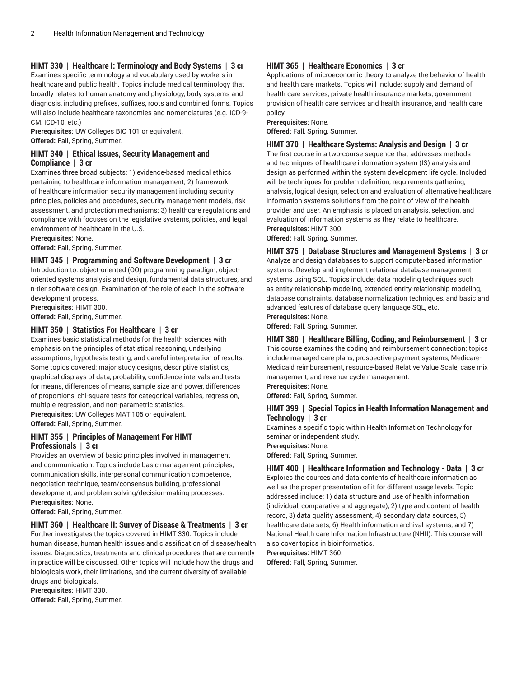# **HIMT 330 | Healthcare I: Terminology and Body Systems | 3 cr**

Examines specific terminology and vocabulary used by workers in healthcare and public health. Topics include medical terminology that broadly relates to human anatomy and physiology, body systems and diagnosis, including prefixes, suffixes, roots and combined forms. Topics will also include healthcare taxonomies and nomenclatures (e.g. ICD-9- CM, ICD-10, etc.)

**Prerequisites:** UW Colleges BIO 101 or equivalent. **Offered:** Fall, Spring, Summer.

### **HIMT 340 | Ethical Issues, Security Management and Compliance | 3 cr**

Examines three broad subjects: 1) evidence-based medical ethics pertaining to healthcare information management; 2) framework of healthcare information security management including security principles, policies and procedures, security management models, risk assessment, and protection mechanisms; 3) healthcare regulations and compliance with focuses on the legislative systems, policies, and legal environment of healthcare in the U.S.

**Prerequisites:** None.

**Offered:** Fall, Spring, Summer.

## **HIMT 345 | Programming and Software Development | 3 cr**

Introduction to: object-oriented (OO) programming paradigm, objectoriented systems analysis and design, fundamental data structures, and n-tier software design. Examination of the role of each in the software development process.

**Prerequisites:** HIMT 300.

**Offered:** Fall, Spring, Summer.

# **HIMT 350 | Statistics For Healthcare | 3 cr**

Examines basic statistical methods for the health sciences with emphasis on the principles of statistical reasoning, underlying assumptions, hypothesis testing, and careful interpretation of results. Some topics covered: major study designs, descriptive statistics, graphical displays of data, probability, confidence intervals and tests for means, differences of means, sample size and power, differences of proportions, chi-square tests for categorical variables, regression, multiple regression, and non-parametric statistics. **Prerequisites:** UW Colleges MAT 105 or equivalent.

**Offered:** Fall, Spring, Summer.

# **HIMT 355 | Principles of Management For HIMT Professionals | 3 cr**

Provides an overview of basic principles involved in management and communication. Topics include basic management principles, communication skills, interpersonal communication competence, negotiation technique, team/consensus building, professional development, and problem solving/decision-making processes. **Prerequisites:** None.

**Offered:** Fall, Spring, Summer.

# **HIMT 360 | Healthcare II: Survey of Disease & Treatments | 3 cr**

Further investigates the topics covered in HIMT 330. Topics include human disease, human health issues and classification of disease/health issues. Diagnostics, treatments and clinical procedures that are currently in practice will be discussed. Other topics will include how the drugs and biologicals work, their limitations, and the current diversity of available drugs and biologicals.

**Prerequisites:** HIMT 330. **Offered:** Fall, Spring, Summer.

### **HIMT 365 | Healthcare Economics | 3 cr**

Applications of microeconomic theory to analyze the behavior of health and health care markets. Topics will include: supply and demand of health care services, private health insurance markets, government provision of health care services and health insurance, and health care policy.

**Prerequisites:** None.

**Offered:** Fall, Spring, Summer.

#### **HIMT 370 | Healthcare Systems: Analysis and Design | 3 cr**

The first course in a two-course sequence that addresses methods and techniques of healthcare information system (IS) analysis and design as performed within the system development life cycle. Included will be techniques for problem definition, requirements gathering, analysis, logical design, selection and evaluation of alternative healthcare information systems solutions from the point of view of the health provider and user. An emphasis is placed on analysis, selection, and evaluation of information systems as they relate to healthcare. **Prerequisites:** HIMT 300.

**Offered:** Fall, Spring, Summer.

**HIMT 375 | Database Structures and Management Systems | 3 cr** Analyze and design databases to support computer-based information systems. Develop and implement relational database management systems using SQL. Topics include: data modeling techniques such as entity-relationship modeling, extended entity-relationship modeling, database constraints, database normalization techniques, and basic and advanced features of database query language SQL, etc. **Prerequisites:** None.

**Offered:** Fall, Spring, Summer.

# **HIMT 380 | Healthcare Billing, Coding, and Reimbursement | 3 cr** This course examines the coding and reimbursement connection; topics include managed care plans, prospective payment systems, Medicare-Medicaid reimbursement, resource-based Relative Value Scale, case mix management, and revenue cycle management.

**Prerequisites:** None.

**Offered:** Fall, Spring, Summer.

#### **HIMT 399 | Special Topics in Health Information Management and Technology | 3 cr**

Examines a specific topic within Health Information Technology for seminar or independent study.

**Prerequisites:** None.

**Offered:** Fall, Spring, Summer.

# **HIMT 400 | Healthcare Information and Technology - Data | 3 cr**

Explores the sources and data contents of healthcare information as well as the proper presentation of it for different usage levels. Topic addressed include: 1) data structure and use of health information (individual, comparative and aggregate), 2) type and content of health record, 3) data quality assessment, 4) secondary data sources, 5) healthcare data sets, 6) Health information archival systems, and 7) National Health care Information Infrastructure (NHII). This course will also cover topics in bioinformatics.

**Prerequisites:** HIMT 360. **Offered:** Fall, Spring, Summer.